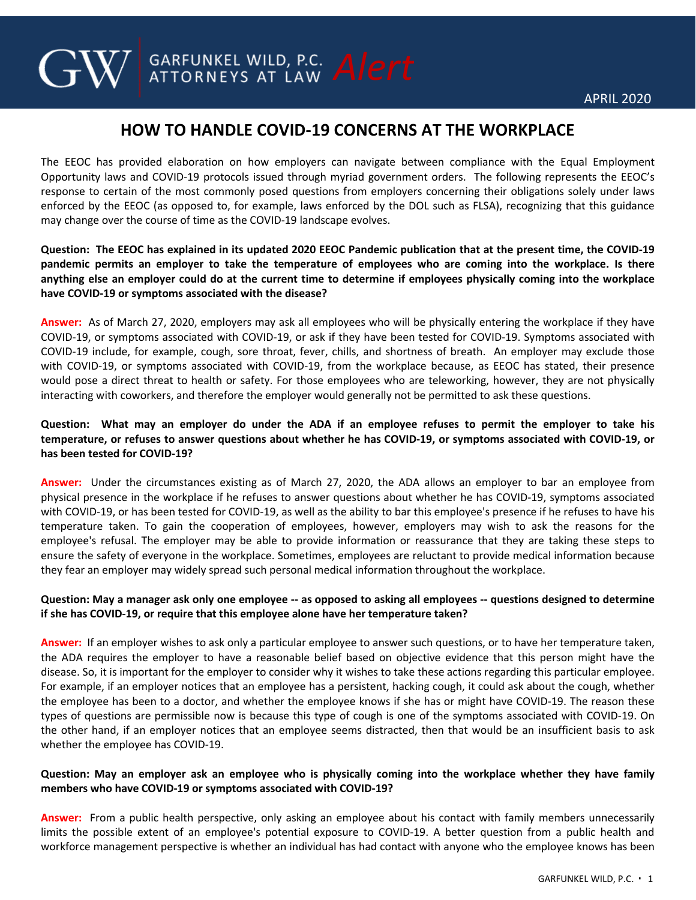# **HOW TO HANDLE COVID-19 CONCERNS AT THE WORKPLACE**

**GARFUNKEL WILD, P.C. Alert** 

The EEOC has provided elaboration on how employers can navigate between compliance with the Equal Employment Opportunity laws and COVID-19 protocols issued through myriad government orders. The following represents the EEOC's response to certain of the most commonly posed questions from employers concerning their obligations solely under laws enforced by the EEOC (as opposed to, for example, laws enforced by the DOL such as FLSA), recognizing that this guidance may change over the course of time as the COVID-19 landscape evolves.

**Question: The EEOC has explained in its updated 2020 EEOC Pandemic publication that at the present time, the COVID-19 pandemic permits an employer to take the temperature of employees who are coming into the workplace. Is there anything else an employer could do at the current time to determine if employees physically coming into the workplace have COVID-19 or symptoms associated with the disease?**

**Answer:** As of March 27, 2020, employers may ask all employees who will be physically entering the workplace if they have COVID-19, or symptoms associated with COVID-19, or ask if they have been tested for COVID-19. Symptoms associated with COVID-19 include, for example, cough, sore throat, fever, chills, and shortness of breath. An employer may exclude those with COVID-19, or symptoms associated with COVID-19, from the workplace because, as EEOC has stated, their presence would pose a direct threat to health or safety. For those employees who are teleworking, however, they are not physically interacting with coworkers, and therefore the employer would generally not be permitted to ask these questions.

## **Question: What may an employer do under the ADA if an employee refuses to permit the employer to take his temperature, or refuses to answer questions about whether he has COVID-19, or symptoms associated with COVID-19, or has been tested for COVID-19?**

**Answer:** Under the circumstances existing as of March 27, 2020, the ADA allows an employer to bar an employee from physical presence in the workplace if he refuses to answer questions about whether he has COVID-19, symptoms associated with COVID-19, or has been tested for COVID-19, as well as the ability to bar this employee's presence if he refuses to have his temperature taken. To gain the cooperation of employees, however, employers may wish to ask the reasons for the employee's refusal. The employer may be able to provide information or reassurance that they are taking these steps to ensure the safety of everyone in the workplace. Sometimes, employees are reluctant to provide medical information because they fear an employer may widely spread such personal medical information throughout the workplace.

## **Question: May a manager ask only one employee -- as opposed to asking all employees -- questions designed to determine if she has COVID-19, or require that this employee alone have her temperature taken?**

**Answer:** If an employer wishes to ask only a particular employee to answer such questions, or to have her temperature taken, the ADA requires the employer to have a reasonable belief based on objective evidence that this person might have the disease. So, it is important for the employer to consider why it wishes to take these actions regarding this particular employee. For example, if an employer notices that an employee has a persistent, hacking cough, it could ask about the cough, whether the employee has been to a doctor, and whether the employee knows if she has or might have COVID-19. The reason these types of questions are permissible now is because this type of cough is one of the symptoms associated with COVID-19. On the other hand, if an employer notices that an employee seems distracted, then that would be an insufficient basis to ask whether the employee has COVID-19.

## **Question: May an employer ask an employee who is physically coming into the workplace whether they have family members who have COVID-19 or symptoms associated with COVID-19?**

**Answer:** From a public health perspective, only asking an employee about his contact with family members unnecessarily limits the possible extent of an employee's potential exposure to COVID-19. A better question from a public health and workforce management perspective is whether an individual has had contact with anyone who the employee knows has been